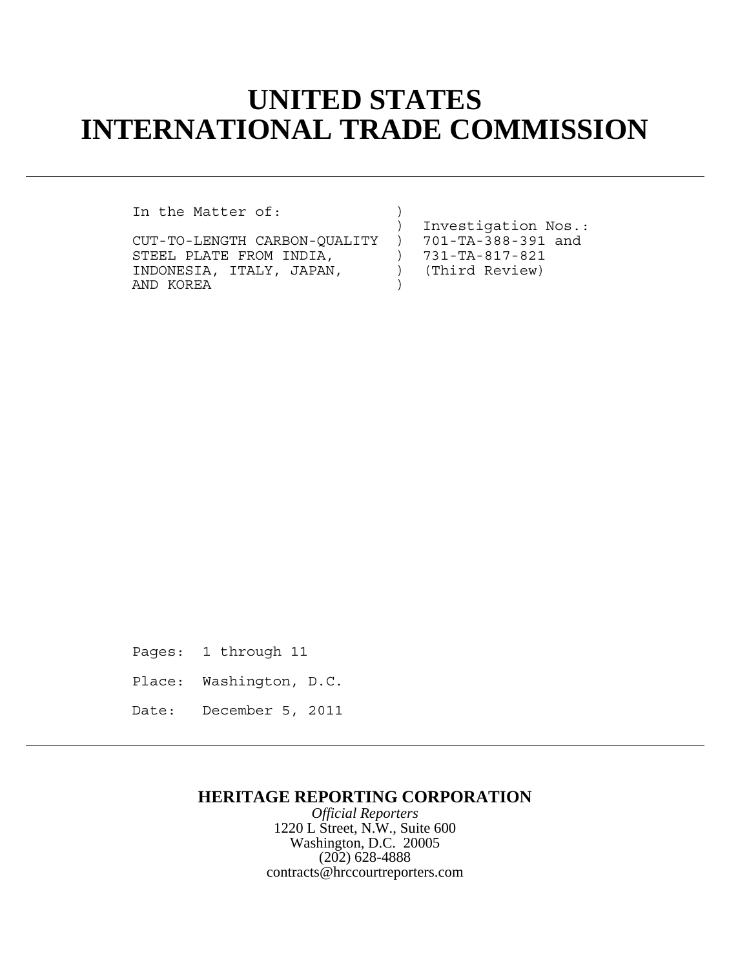# **UNITED STATES INTERNATIONAL TRADE COMMISSION**

In the Matter of:

CUT-TO-LENGTH CARBON-QUALITY ) 701-TA-388-391 and<br>STEEL PLATE FROM INDIA, ) 731-TA-817-821 STEEL PLATE FROM INDIA,  $\begin{array}{c} \text{731-TA-817-821} \\ \text{INDONESIA, ITALY, JAPAN, \end{array}$  (Third Review) INDONESIA, ITALY, JAPAN,  $)$ AND KOREA

) Investigation Nos.:

Pages: 1 through 11

- Place: Washington, D.C.
- Date: December 5, 2011

## **HERITAGE REPORTING CORPORATION**

*Official Reporters* 1220 L Street, N.W., Suite 600 Washington, D.C. 20005 (202) 628-4888 contracts@hrccourtreporters.com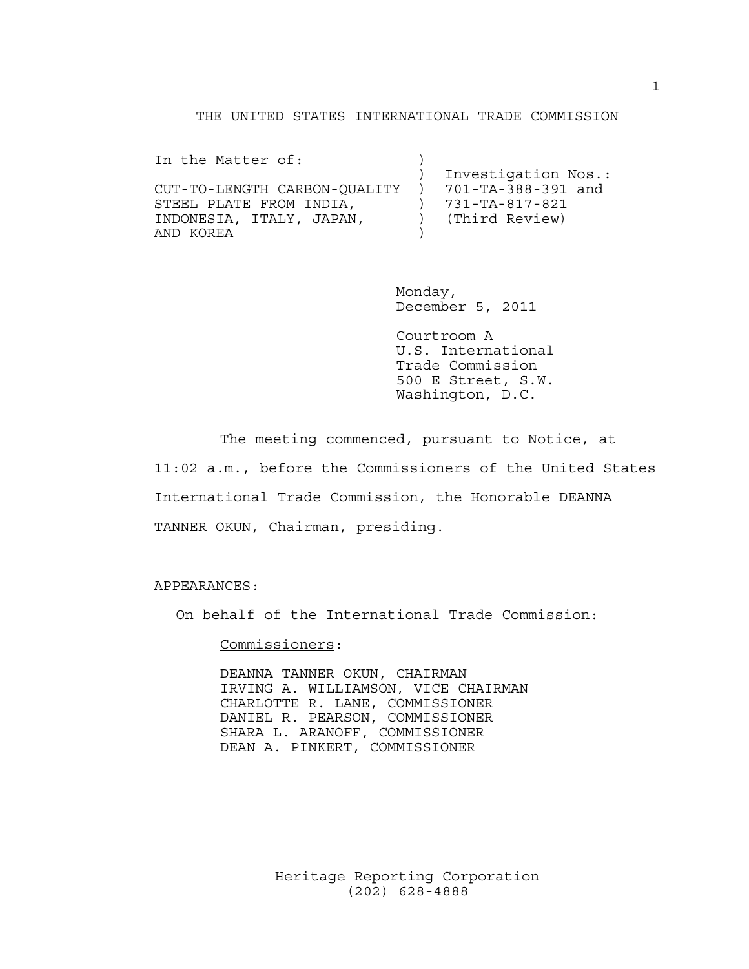### THE UNITED STATES INTERNATIONAL TRADE COMMISSION

| In the Matter of:            |                     |
|------------------------------|---------------------|
|                              | Investigation Nos.: |
| CUT-TO-LENGTH CARBON-OUALITY | 701-TA-388-391 and  |
| STEEL PLATE FROM INDIA.      | 731-TA-817-821      |
| INDONESIA, ITALY, JAPAN,     | (Third Review)      |
| AND KORFA                    |                     |

Monday, December 5, 2011

Courtroom A U.S. International Trade Commission 500 E Street, S.W. Washington, D.C.

The meeting commenced, pursuant to Notice, at 11:02 a.m., before the Commissioners of the United States International Trade Commission, the Honorable DEANNA TANNER OKUN, Chairman, presiding.

APPEARANCES:

On behalf of the International Trade Commission:

Commissioners:

DEANNA TANNER OKUN, CHAIRMAN IRVING A. WILLIAMSON, VICE CHAIRMAN CHARLOTTE R. LANE, COMMISSIONER DANIEL R. PEARSON, COMMISSIONER SHARA L. ARANOFF, COMMISSIONER DEAN A. PINKERT, COMMISSIONER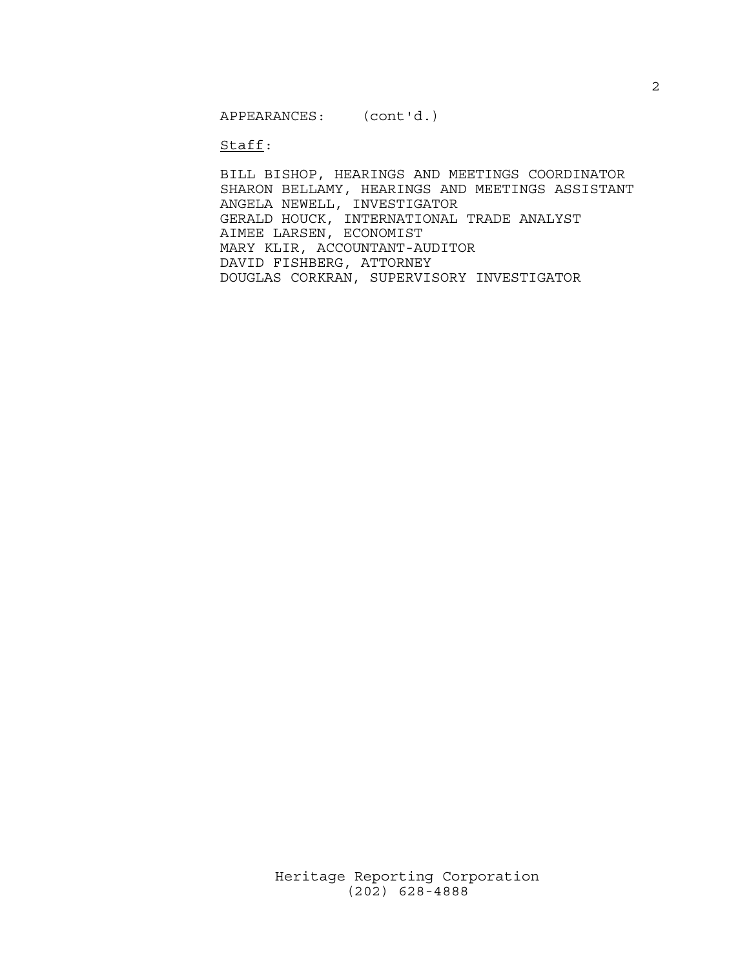APPEARANCES: (cont'd.)

Staff:

BILL BISHOP, HEARINGS AND MEETINGS COORDINATOR SHARON BELLAMY, HEARINGS AND MEETINGS ASSISTANT ANGELA NEWELL, INVESTIGATOR GERALD HOUCK, INTERNATIONAL TRADE ANALYST AIMEE LARSEN, ECONOMIST MARY KLIR, ACCOUNTANT-AUDITOR DAVID FISHBERG, ATTORNEY DOUGLAS CORKRAN, SUPERVISORY INVESTIGATOR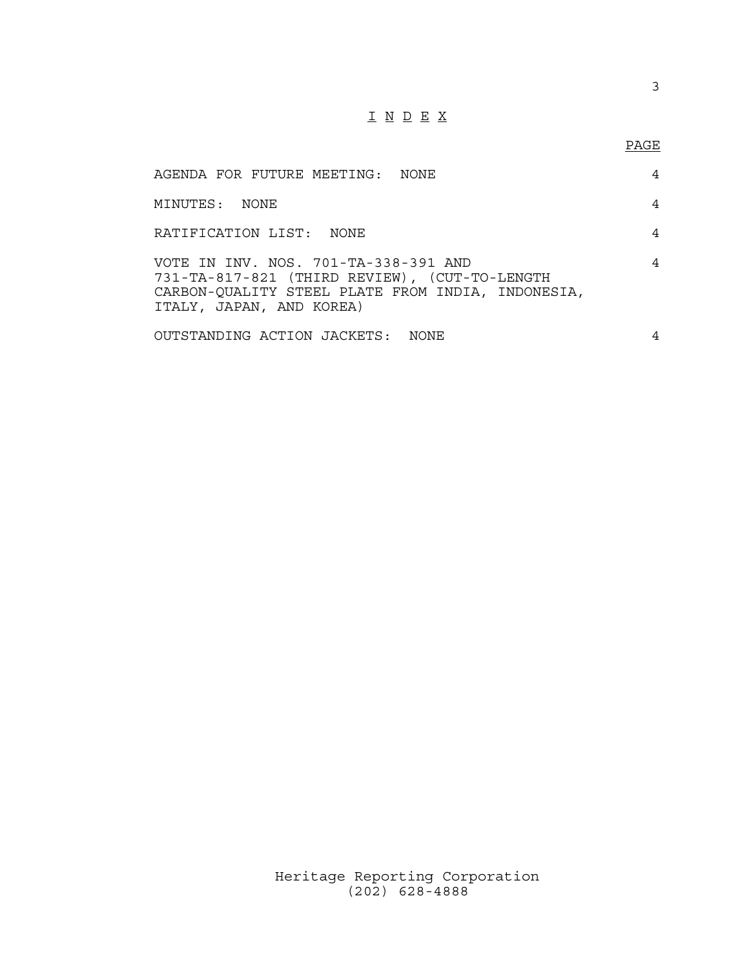# I N D E X

## PAGE

| AGENDA FOR FUTURE MEETING: NONE                                                                                                                                        | 4 |  |
|------------------------------------------------------------------------------------------------------------------------------------------------------------------------|---|--|
| MINUTES: NONE                                                                                                                                                          | 4 |  |
| RATIFICATION LIST: NONE                                                                                                                                                | 4 |  |
| VOTE IN INV. NOS. 701-TA-338-391 AND<br>731-TA-817-821 (THIRD REVIEW), (CUT-TO-LENGTH<br>CARBON-QUALITY STEEL PLATE FROM INDIA, INDONESIA,<br>ITALY, JAPAN, AND KOREA) | 4 |  |
| OUTSTANDING ACTION JACKETS: NONE                                                                                                                                       | 4 |  |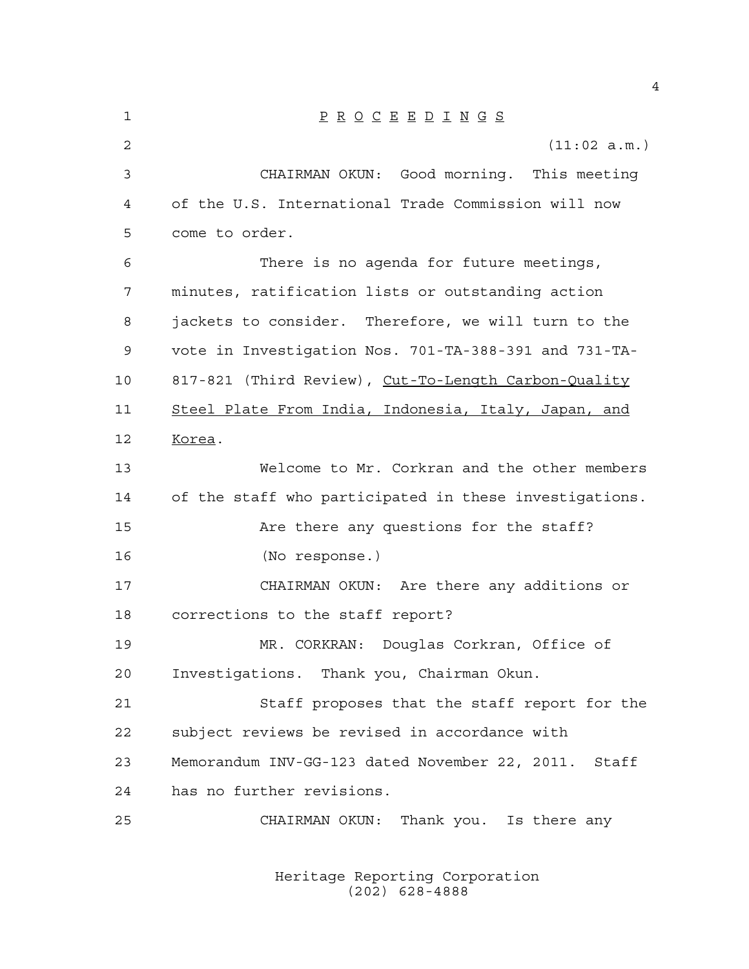| 1  | $\underline{P} \underline{R} \underline{O} \underline{C} \underline{E} \underline{E} \underline{D} \underline{I} \underline{N} \underline{G} \underline{S}$ |
|----|-------------------------------------------------------------------------------------------------------------------------------------------------------------|
| 2  | (11:02 a.m.)                                                                                                                                                |
| 3  | CHAIRMAN OKUN: Good morning. This meeting                                                                                                                   |
| 4  | of the U.S. International Trade Commission will now                                                                                                         |
| 5  | come to order.                                                                                                                                              |
| 6  | There is no agenda for future meetings,                                                                                                                     |
| 7  | minutes, ratification lists or outstanding action                                                                                                           |
| 8  | jackets to consider. Therefore, we will turn to the                                                                                                         |
| 9  | vote in Investigation Nos. 701-TA-388-391 and 731-TA-                                                                                                       |
| 10 | 817-821 (Third Review), Cut-To-Length Carbon-Quality                                                                                                        |
| 11 | Steel Plate From India, Indonesia, Italy, Japan, and                                                                                                        |
| 12 | Korea.                                                                                                                                                      |
| 13 | Welcome to Mr. Corkran and the other members                                                                                                                |
| 14 | of the staff who participated in these investigations.                                                                                                      |
| 15 | Are there any questions for the staff?                                                                                                                      |
| 16 | (No response.)                                                                                                                                              |
| 17 | CHAIRMAN OKUN: Are there any additions or                                                                                                                   |
| 18 | corrections to the staff report?                                                                                                                            |
| 19 | MR. CORKRAN: Douglas Corkran, Office of                                                                                                                     |
| 20 | Investigations. Thank you, Chairman Okun.                                                                                                                   |
| 21 | Staff proposes that the staff report for the                                                                                                                |
| 22 | subject reviews be revised in accordance with                                                                                                               |
| 23 | Memorandum INV-GG-123 dated November 22, 2011. Staff                                                                                                        |
| 24 | has no further revisions.                                                                                                                                   |
| 25 | CHAIRMAN OKUN: Thank you. Is there any                                                                                                                      |
|    |                                                                                                                                                             |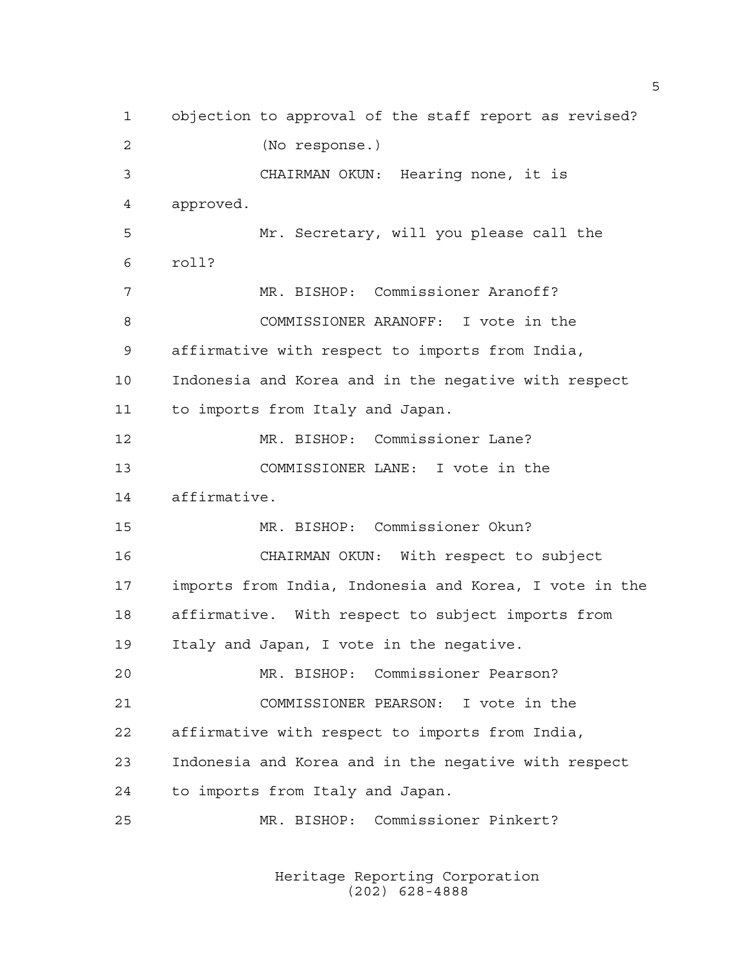objection to approval of the staff report as revised? (No response.) CHAIRMAN OKUN: Hearing none, it is approved. Mr. Secretary, will you please call the roll? MR. BISHOP: Commissioner Aranoff? COMMISSIONER ARANOFF: I vote in the affirmative with respect to imports from India, Indonesia and Korea and in the negative with respect to imports from Italy and Japan. MR. BISHOP: Commissioner Lane? COMMISSIONER LANE: I vote in the affirmative. MR. BISHOP: Commissioner Okun? CHAIRMAN OKUN: With respect to subject imports from India, Indonesia and Korea, I vote in the affirmative. With respect to subject imports from Italy and Japan, I vote in the negative. MR. BISHOP: Commissioner Pearson? COMMISSIONER PEARSON: I vote in the affirmative with respect to imports from India, Indonesia and Korea and in the negative with respect to imports from Italy and Japan. MR. BISHOP: Commissioner Pinkert?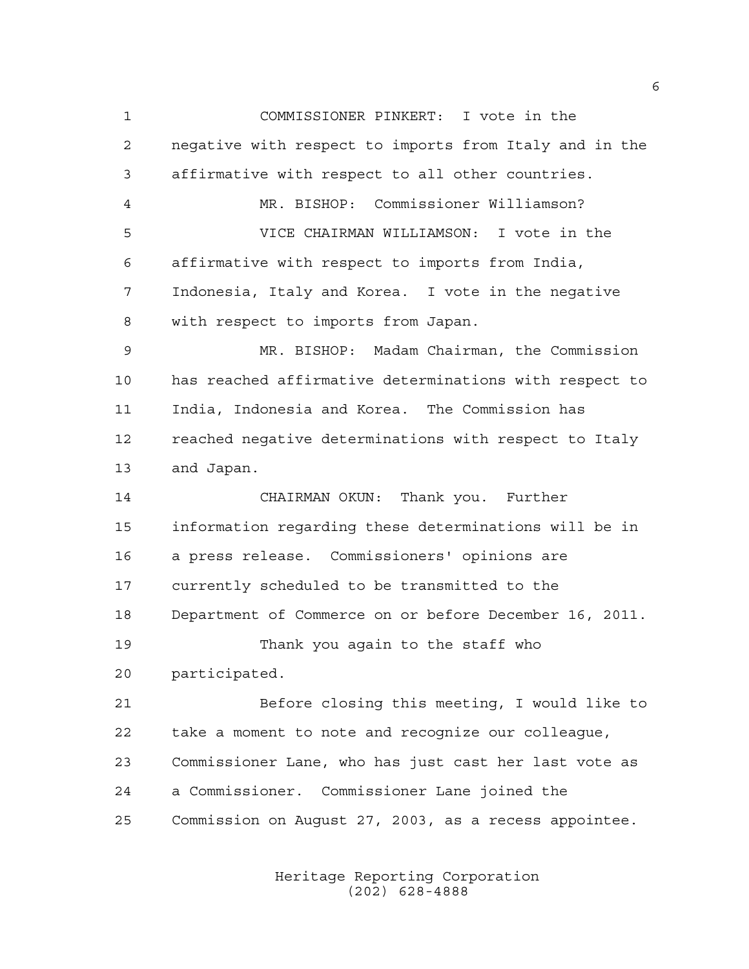COMMISSIONER PINKERT: I vote in the negative with respect to imports from Italy and in the affirmative with respect to all other countries. MR. BISHOP: Commissioner Williamson? VICE CHAIRMAN WILLIAMSON: I vote in the affirmative with respect to imports from India, Indonesia, Italy and Korea. I vote in the negative with respect to imports from Japan. MR. BISHOP: Madam Chairman, the Commission has reached affirmative determinations with respect to India, Indonesia and Korea. The Commission has reached negative determinations with respect to Italy and Japan. CHAIRMAN OKUN: Thank you. Further information regarding these determinations will be in a press release. Commissioners' opinions are currently scheduled to be transmitted to the Department of Commerce on or before December 16, 2011. Thank you again to the staff who participated. Before closing this meeting, I would like to take a moment to note and recognize our colleague, Commissioner Lane, who has just cast her last vote as a Commissioner. Commissioner Lane joined the Commission on August 27, 2003, as a recess appointee.

> Heritage Reporting Corporation (202) 628-4888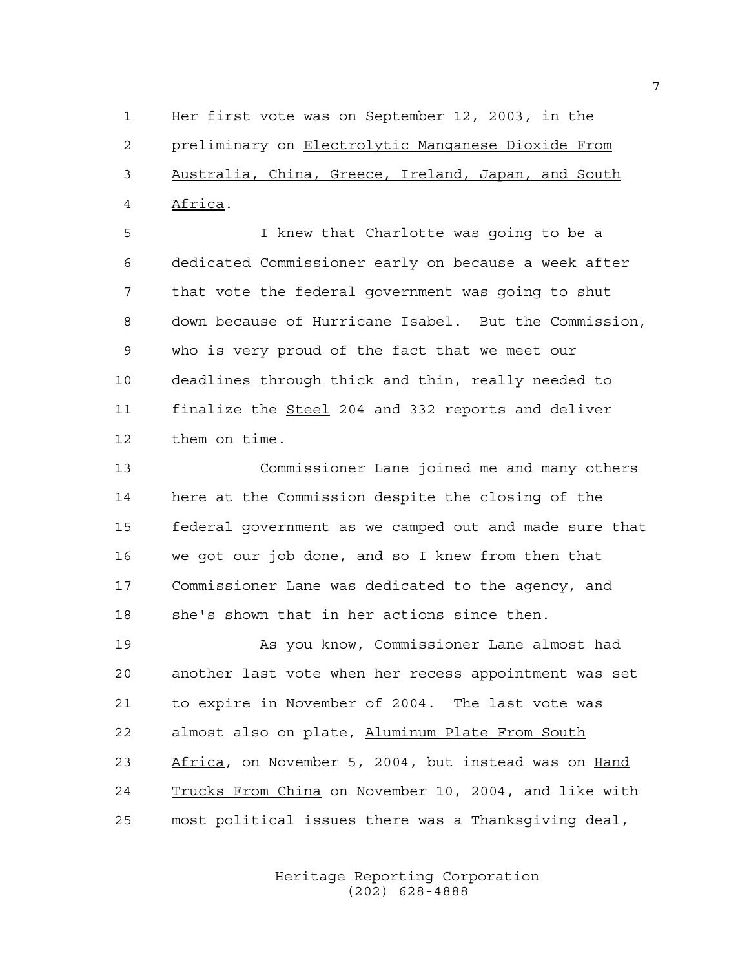Her first vote was on September 12, 2003, in the preliminary on Electrolytic Manganese Dioxide From Australia, China, Greece, Ireland, Japan, and South Africa.

 I knew that Charlotte was going to be a dedicated Commissioner early on because a week after that vote the federal government was going to shut down because of Hurricane Isabel. But the Commission, who is very proud of the fact that we meet our deadlines through thick and thin, really needed to 11 finalize the Steel 204 and 332 reports and deliver them on time.

 Commissioner Lane joined me and many others here at the Commission despite the closing of the federal government as we camped out and made sure that we got our job done, and so I knew from then that Commissioner Lane was dedicated to the agency, and she's shown that in her actions since then.

 As you know, Commissioner Lane almost had another last vote when her recess appointment was set to expire in November of 2004. The last vote was almost also on plate, Aluminum Plate From South Africa, on November 5, 2004, but instead was on Hand Trucks From China on November 10, 2004, and like with most political issues there was a Thanksgiving deal,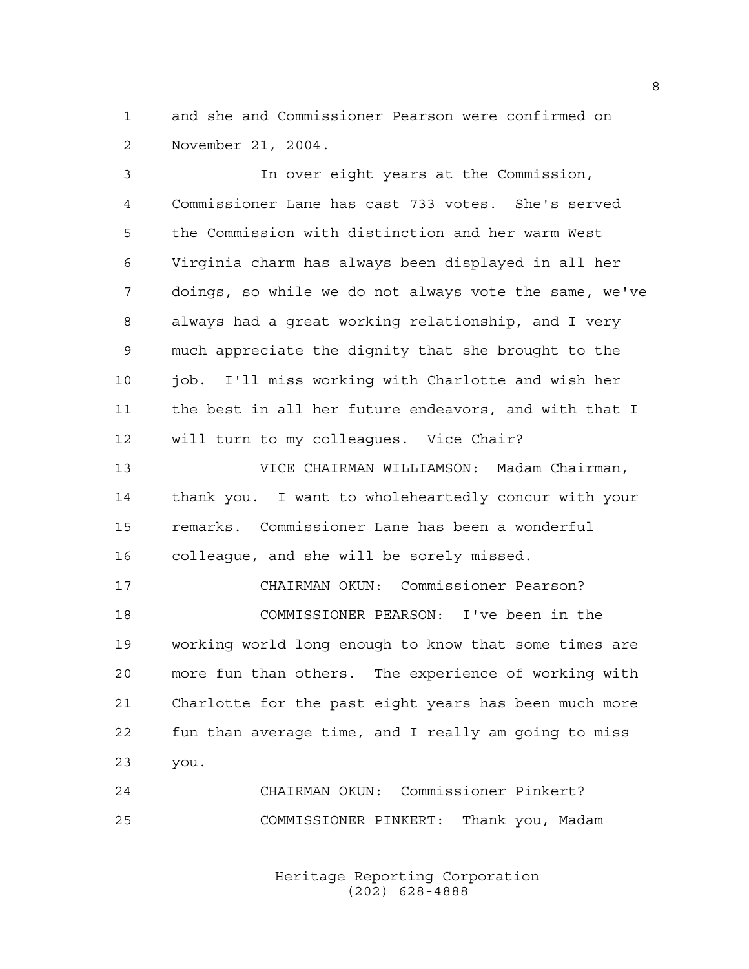and she and Commissioner Pearson were confirmed on November 21, 2004.

 In over eight years at the Commission, Commissioner Lane has cast 733 votes. She's served the Commission with distinction and her warm West Virginia charm has always been displayed in all her doings, so while we do not always vote the same, we've always had a great working relationship, and I very much appreciate the dignity that she brought to the job. I'll miss working with Charlotte and wish her the best in all her future endeavors, and with that I will turn to my colleagues. Vice Chair? VICE CHAIRMAN WILLIAMSON: Madam Chairman, thank you. I want to wholeheartedly concur with your remarks. Commissioner Lane has been a wonderful colleague, and she will be sorely missed. CHAIRMAN OKUN: Commissioner Pearson? COMMISSIONER PEARSON: I've been in the working world long enough to know that some times are more fun than others. The experience of working with Charlotte for the past eight years has been much more fun than average time, and I really am going to miss you. CHAIRMAN OKUN: Commissioner Pinkert?

> Heritage Reporting Corporation (202) 628-4888

COMMISSIONER PINKERT: Thank you, Madam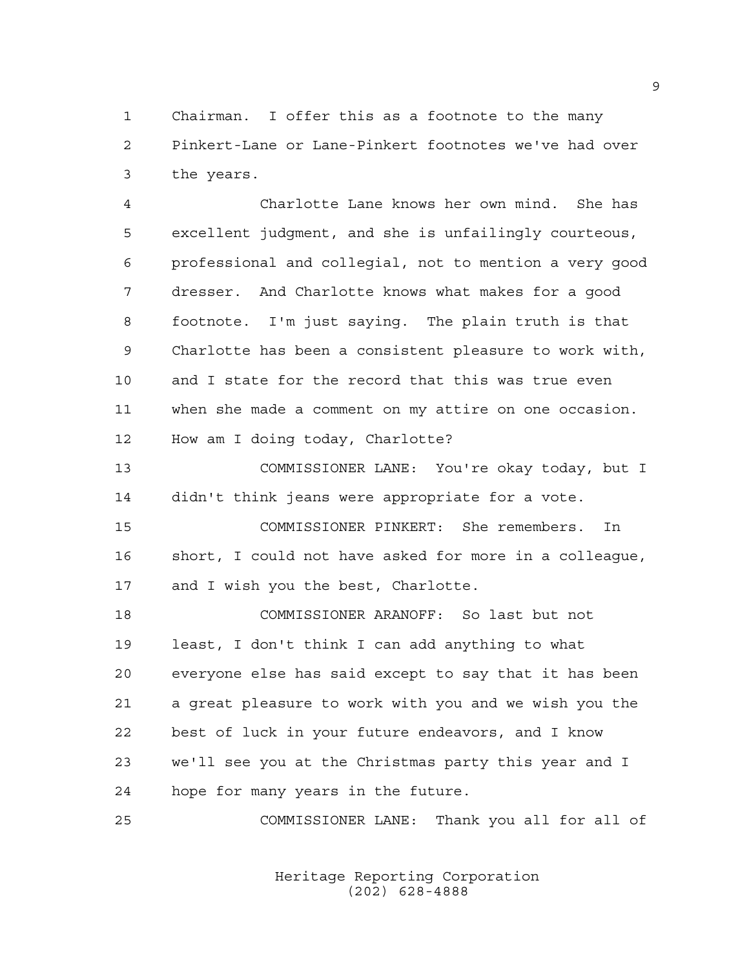Chairman. I offer this as a footnote to the many Pinkert-Lane or Lane-Pinkert footnotes we've had over the years.

 Charlotte Lane knows her own mind. She has excellent judgment, and she is unfailingly courteous, professional and collegial, not to mention a very good dresser. And Charlotte knows what makes for a good footnote. I'm just saying. The plain truth is that Charlotte has been a consistent pleasure to work with, and I state for the record that this was true even when she made a comment on my attire on one occasion. How am I doing today, Charlotte?

 COMMISSIONER LANE: You're okay today, but I didn't think jeans were appropriate for a vote.

 COMMISSIONER PINKERT: She remembers. In short, I could not have asked for more in a colleague, and I wish you the best, Charlotte.

 COMMISSIONER ARANOFF: So last but not least, I don't think I can add anything to what everyone else has said except to say that it has been a great pleasure to work with you and we wish you the best of luck in your future endeavors, and I know we'll see you at the Christmas party this year and I hope for many years in the future.

COMMISSIONER LANE: Thank you all for all of

Heritage Reporting Corporation (202) 628-4888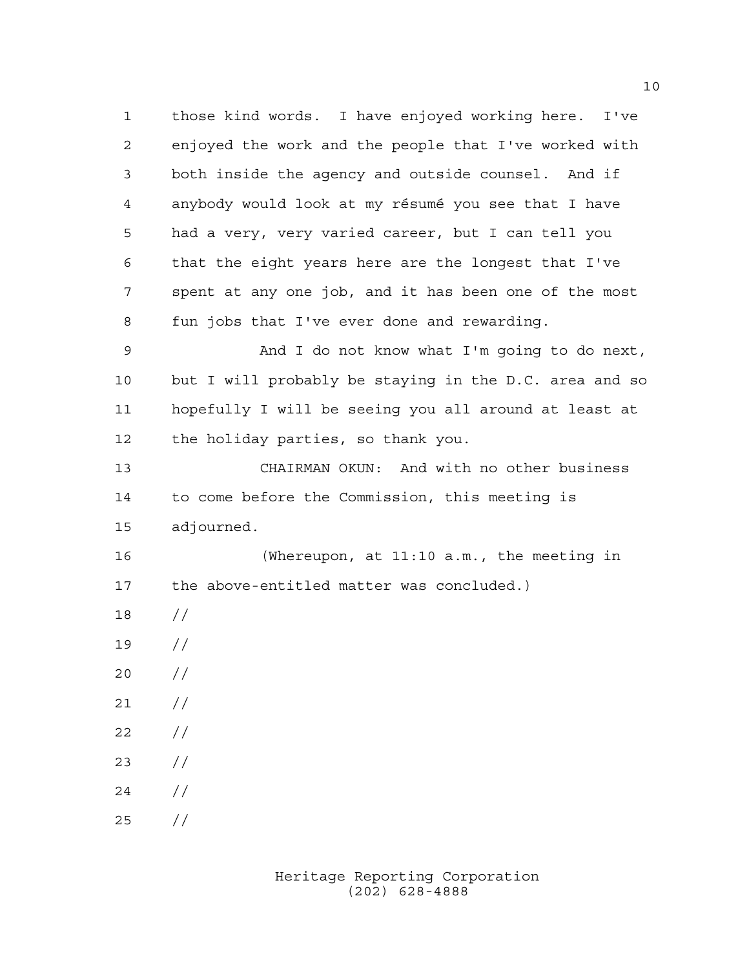those kind words. I have enjoyed working here. I've enjoyed the work and the people that I've worked with both inside the agency and outside counsel. And if anybody would look at my résumé you see that I have had a very, very varied career, but I can tell you that the eight years here are the longest that I've spent at any one job, and it has been one of the most fun jobs that I've ever done and rewarding. And I do not know what I'm going to do next, but I will probably be staying in the D.C. area and so hopefully I will be seeing you all around at least at the holiday parties, so thank you. CHAIRMAN OKUN: And with no other business to come before the Commission, this meeting is adjourned. (Whereupon, at 11:10 a.m., the meeting in the above-entitled matter was concluded.) // //  $20 /$  $21 /$  $22 / /$  // // //

> Heritage Reporting Corporation (202) 628-4888